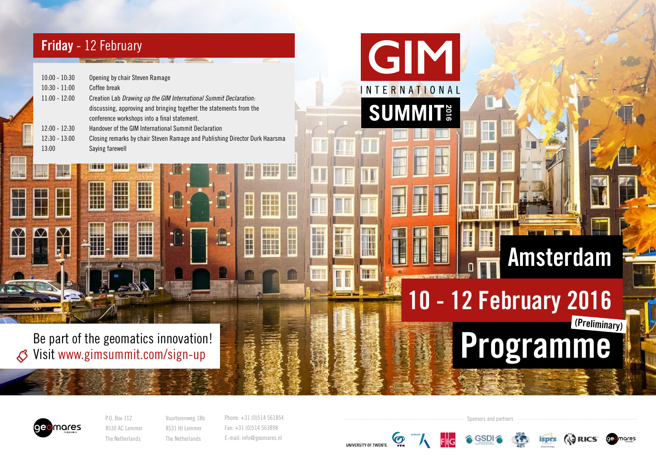# Friday - 12 February

H

T

N.

M

¥

HIII<br>IIII

तम

H

H

H

II.

| $10:00 - 10:30$ | Opening by chair Steven Ramage                                              |
|-----------------|-----------------------------------------------------------------------------|
| $10:30 - 11:00$ | Coffee break                                                                |
| $11:00 - 12:00$ | Creation Lab Drawing up the GIM International Summit Declaration:           |
|                 | discussing, approving and bringing together the statements from the         |
|                 | conference workshops into a final statement.                                |
| $12:00 - 12:30$ | Handover of the GIM International Summit Declaration                        |
| $12:30 - 13:00$ | Closing remarks by chair Steven Ramage and Publishing Director Durk Haarsma |
| 13:00           | Saying farewell                                                             |
|                 |                                                                             |

**Contract of the Contract of the Contract of the Contract of the Contract of the Contract of the Contract of the** 

Be part of the geomatics innovation! Visit www.gimsummit.com/sign-up $\mathcal{S}$ 



P.O. Box 112 8530 AC Lemmer The Netherlands Vuurtorenweg 18b 8531 HJ Lemmer The Netherlands

Phone: +31 (0)514 561854 Fax: +31 (0)514 563898 E-mail: info@geomares.nl

HIF

H

**REE** 

H

副隊

H

**Manu** 

H

H

F

H

H

Ħ

H

**Tiltie** 

m

H

**HH** 

**Q** 

**UNIVERSITY OF TWENTE** 



**A** GSDI

GIM

**INTERNATIONAL** 

**SUMMIT** 

I

10 - 12 February 2016

Programme

isprs



(Preliminary)

Amsterdam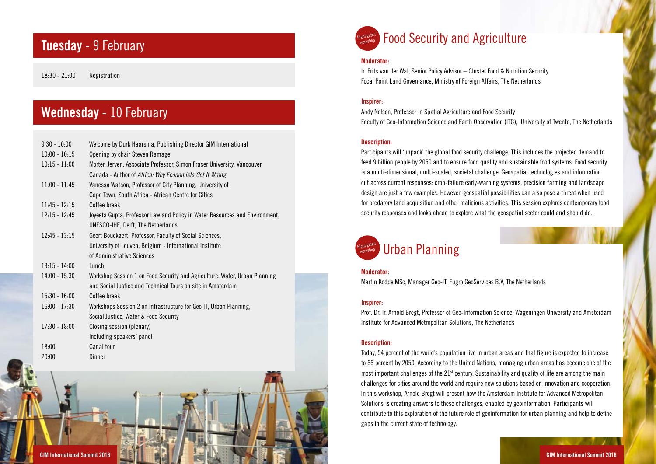### Tuesday - 9 February

18:30 - 21:00 Registration

# Wednesday - 10 February

| $9:30 - 10:00$  | Welcome by Durk Haarsma, Publishing Director GIM International              |
|-----------------|-----------------------------------------------------------------------------|
| $10:00 - 10:15$ | Opening by chair Steven Ramage                                              |
| $10:15 - 11:00$ | Morten Jerven, Associate Professor, Simon Fraser University, Vancouver,     |
|                 | Canada - Author of Africa: Why Economists Get It Wrong                      |
| $11:00 - 11:45$ | Vanessa Watson, Professor of City Planning, University of                   |
|                 | Cape Town, South Africa - African Centre for Cities                         |
| $11:45 - 12:15$ | Coffee break                                                                |
| $12:15 - 12:45$ | Joyeeta Gupta, Professor Law and Policy in Water Resources and Environment, |
|                 | UNESCO-IHE, Delft, The Netherlands                                          |
| $12:45 - 13:15$ | Geert Bouckaert, Professor, Faculty of Social Sciences,                     |
|                 | University of Leuven, Belgium - International Institute                     |
|                 | of Administrative Sciences                                                  |
| $13:15 - 14:00$ | Lunch                                                                       |
| $14:00 - 15:30$ | Workshop Session 1 on Food Security and Agriculture, Water, Urban Planning  |
|                 | and Social Justice and Technical Tours on site in Amsterdam                 |
| $15:30 - 16:00$ | Coffee break                                                                |
| $16:00 - 17:30$ | Workshops Session 2 on Infrastructure for Geo-IT, Urban Planning,           |
|                 | Social Justice, Water & Food Security                                       |
| $17:30 - 18:00$ | Closing session (plenary)                                                   |
|                 | Including speakers' panel                                                   |
| 18:00           | Canal tour                                                                  |
| 20:00           | Dinner                                                                      |





## **Highlighted Food Security and Agriculture**

### Moderator:

Ir. Frits van der Wal, Senior Policy Advisor – Cluster Food & Nutrition Security Focal Point Land Governance, Ministry of Foreign Affairs, The Netherlands

### Inspirer:

Andy Nelson, Professor in Spatial Agriculture and Food Security Faculty of Geo-Information Science and Earth Observation (ITC), University of Twente, The Netherlands

#### Description:

Participants will 'unpack' the global food security challenge. This includes the projected demand to feed 9 billion people by 2050 and to ensure food quality and sustainable food systems. Food security is a multi-dimensional, multi-scaled, societal challenge. Geospatial technologies and information cut across current responses: crop-failure early-warning systems, precision farming and landscape design are just a few examples. However, geospatial possibilities can also pose a threat when used for predatory land acquisition and other malicious activities. This session explores contemporary food security responses and looks ahead to explore what the geospatial sector could and should do.

#### Urban Planning Highlighted <sub>workshop</sub>

#### Moderator:

Martin Kodde MSc, Manager Geo-IT, Fugro GeoServices B.V, The Netherlands

### Inspirer:

Prof. Dr. Ir. Arnold Bregt, Professor of Geo-Information Science, Wageningen University and Amsterdam Institute for Advanced Metropolitan Solutions, The Netherlands

#### Description:

Today, 54 percent of the world's population live in urban areas and that figure is expected to increase to 66 percent by 2050. According to the United Nations, managing urban areas has become one of the most important challenges of the 21<sup>st</sup> century. Sustainability and quality of life are among the main challenges for cities around the world and require new solutions based on innovation and cooperation. In this workshop, Arnold Bregt will present how the Amsterdam Institute for Advanced Metropolitan Solutions is creating answers to these challenges, enabled by geoinformation. Participants will contribute to this exploration of the future role of geoinformation for urban planning and help to define gaps in the current state of technology.

and the property of the control of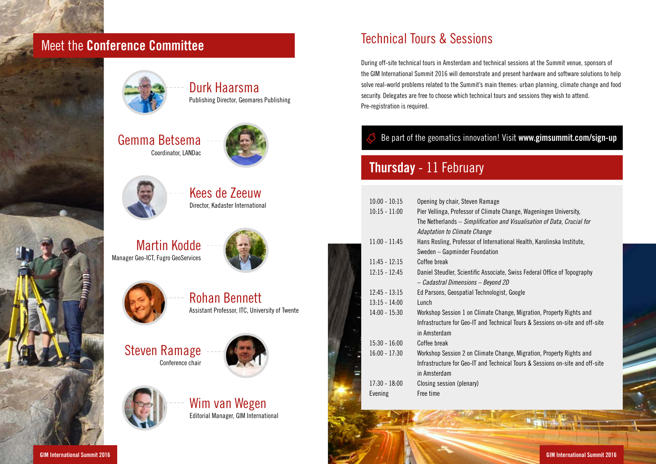# Meet the Conference Committee



Durk Haarsma Publishing Director, Geomares Publishing







Kees de Zeeuw Director, Kadaster International

Martin Kodde Manager Geo-ICT, Fugro GeoServices





Rohan Bennett Assistant Professor, ITC, University of Twente

### Steven Ramage Conference chair





Wim van Wegen Editorial Manager, GIM International

# Technical Tours & Sessions

During off-site technical tours in Amsterdam and technical sessions at the Summit venue, sponsors of the GIM International Summit 2016 will demonstrate and present hardware and software solutions to help solve real-world problems related to the Summit's main themes: urban planning, climate change and food security. Delegates are free to choose which technical tours and sessions they wish to attend. Pre-registration is required.

### Be part of the geomatics innovation! Visit www.gimsummit.com/sign-up

# Thursday - 11 February

| $10:00 - 10:15$ | Opening by chair, Steven Ramage                                               |
|-----------------|-------------------------------------------------------------------------------|
| $10:15 - 11:00$ | Pier Vellinga, Professor of Climate Change, Wageningen University,            |
|                 | The Netherlands – Simplification and Visualisation of Data, Crucial for       |
|                 | Adaptation to Climate Change                                                  |
| $11:00 - 11:45$ | Hans Rosling, Professor of International Health, Karolinska Institute,        |
|                 | Sweden - Gapminder Foundation                                                 |
| $11:45 - 12:15$ | Coffee break                                                                  |
| $12:15 - 12:45$ | Daniel Steudler, Scientific Associate, Swiss Federal Office of Topography     |
|                 | - Cadastral Dimensions - Beyond 2D                                            |
| $12.45 - 13.15$ | Ed Parsons, Geospatial Technologist, Google                                   |
| $13:15 - 14:00$ | Lunch                                                                         |
| $14:00 - 15:30$ | Workshop Session 1 on Climate Change, Migration, Property Rights and          |
|                 | Infrastructure for Geo-IT and Technical Tours & Sessions on-site and off-site |
|                 | in Amsterdam                                                                  |
| $15:30 - 16:00$ | Coffee break                                                                  |
| $16:00 - 17:30$ | Workshop Session 2 on Climate Change, Migration, Property Rights and          |
|                 | Infrastructure for Geo-IT and Technical Tours & Sessions on-site and off-site |
|                 | in Amsterdam                                                                  |
| $17:30 - 18:00$ | Closing session (plenary)                                                     |
| Evening         | Free time                                                                     |
|                 |                                                                               |